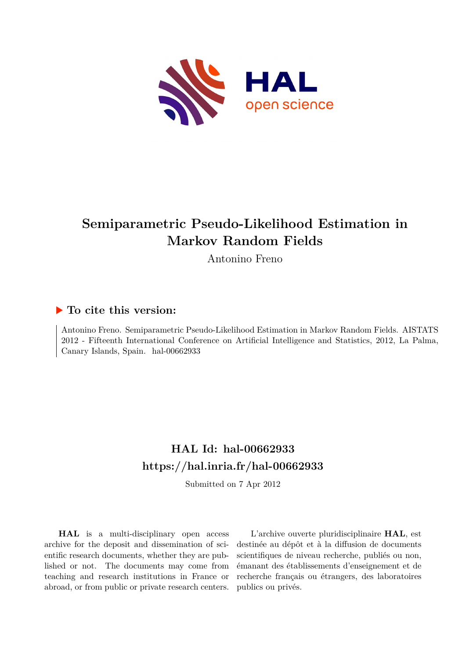

# **Semiparametric Pseudo-Likelihood Estimation in Markov Random Fields**

Antonino Freno

## **To cite this version:**

Antonino Freno. Semiparametric Pseudo-Likelihood Estimation in Markov Random Fields. AISTATS 2012 - Fifteenth International Conference on Artificial Intelligence and Statistics, 2012, La Palma, Canary Islands, Spain. hal-00662933

# **HAL Id: hal-00662933 <https://hal.inria.fr/hal-00662933>**

Submitted on 7 Apr 2012

**HAL** is a multi-disciplinary open access archive for the deposit and dissemination of scientific research documents, whether they are published or not. The documents may come from teaching and research institutions in France or abroad, or from public or private research centers.

L'archive ouverte pluridisciplinaire **HAL**, est destinée au dépôt et à la diffusion de documents scientifiques de niveau recherche, publiés ou non, émanant des établissements d'enseignement et de recherche français ou étrangers, des laboratoires publics ou privés.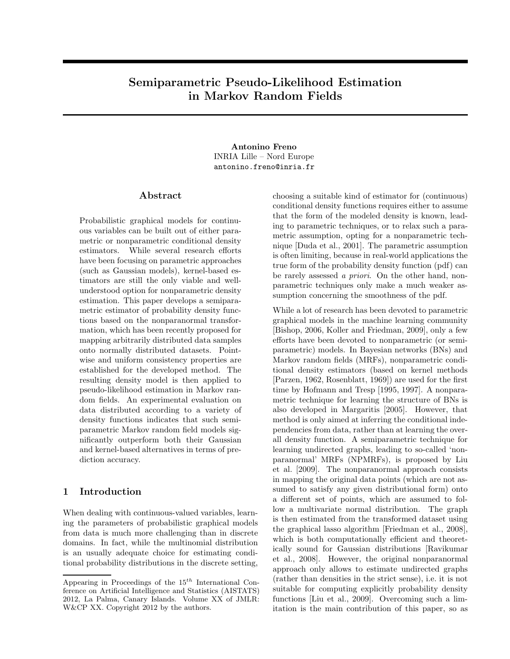## Semiparametric Pseudo-Likelihood Estimation in Markov Random Fields

Antonino Freno INRIA Lille – Nord Europe antonino.freno@inria.fr

#### Abstract

Probabilistic graphical models for continuous variables can be built out of either parametric or nonparametric conditional density estimators. While several research efforts have been focusing on parametric approaches (such as Gaussian models), kernel-based estimators are still the only viable and wellunderstood option for nonparametric density estimation. This paper develops a semiparametric estimator of probability density functions based on the nonparanormal transformation, which has been recently proposed for mapping arbitrarily distributed data samples onto normally distributed datasets. Pointwise and uniform consistency properties are established for the developed method. The resulting density model is then applied to pseudo-likelihood estimation in Markov random fields. An experimental evaluation on data distributed according to a variety of density functions indicates that such semiparametric Markov random field models significantly outperform both their Gaussian and kernel-based alternatives in terms of prediction accuracy.

#### 1 Introduction

When dealing with continuous-valued variables, learning the parameters of probabilistic graphical models from data is much more challenging than in discrete domains. In fact, while the multinomial distribution is an usually adequate choice for estimating conditional probability distributions in the discrete setting,

choosing a suitable kind of estimator for (continuous) conditional density functions requires either to assume that the form of the modeled density is known, leading to parametric techniques, or to relax such a parametric assumption, opting for a nonparametric technique [Duda et al., 2001]. The parametric assumption is often limiting, because in real-world applications the true form of the probability density function (pdf) can be rarely assessed a priori. On the other hand, nonparametric techniques only make a much weaker assumption concerning the smoothness of the pdf.

While a lot of research has been devoted to parametric graphical models in the machine learning community [Bishop, 2006, Koller and Friedman, 2009], only a few efforts have been devoted to nonparametric (or semiparametric) models. In Bayesian networks (BNs) and Markov random fields (MRFs), nonparametric conditional density estimators (based on kernel methods [Parzen, 1962, Rosenblatt, 1969]) are used for the first time by Hofmann and Tresp [1995, 1997]. A nonparametric technique for learning the structure of BNs is also developed in Margaritis [2005]. However, that method is only aimed at inferring the conditional independencies from data, rather than at learning the overall density function. A semiparametric technique for learning undirected graphs, leading to so-called 'nonparanormal' MRFs (NPMRFs), is proposed by Liu et al. [2009]. The nonparanormal approach consists in mapping the original data points (which are not assumed to satisfy any given distributional form) onto a different set of points, which are assumed to follow a multivariate normal distribution. The graph is then estimated from the transformed dataset using the graphical lasso algorithm [Friedman et al., 2008], which is both computationally efficient and theoretically sound for Gaussian distributions [Ravikumar et al., 2008]. However, the original nonparanormal approach only allows to estimate undirected graphs (rather than densities in the strict sense), i.e. it is not suitable for computing explicitly probability density functions [Liu et al., 2009]. Overcoming such a limitation is the main contribution of this paper, so as

Appearing in Proceedings of the  $15^{th}$  International Conference on Artificial Intelligence and Statistics (AISTATS) 2012, La Palma, Canary Islands. Volume XX of JMLR: W&CP XX. Copyright 2012 by the authors.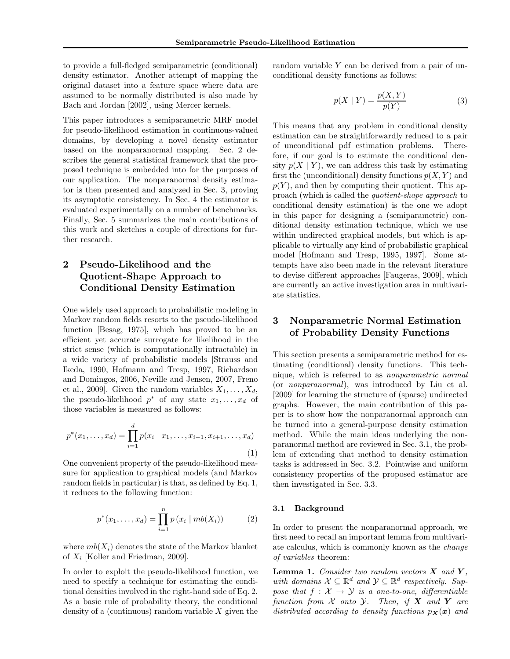to provide a full-fledged semiparametric (conditional) density estimator. Another attempt of mapping the original dataset into a feature space where data are assumed to be normally distributed is also made by Bach and Jordan [2002], using Mercer kernels.

This paper introduces a semiparametric MRF model for pseudo-likelihood estimation in continuous-valued domains, by developing a novel density estimator based on the nonparanormal mapping. Sec. 2 describes the general statistical framework that the proposed technique is embedded into for the purposes of our application. The nonparanormal density estimator is then presented and analyzed in Sec. 3, proving its asymptotic consistency. In Sec. 4 the estimator is evaluated experimentally on a number of benchmarks. Finally, Sec. 5 summarizes the main contributions of this work and sketches a couple of directions for further research.

### 2 Pseudo-Likelihood and the Quotient-Shape Approach to Conditional Density Estimation

One widely used approach to probabilistic modeling in Markov random fields resorts to the pseudo-likelihood function [Besag, 1975], which has proved to be an efficient yet accurate surrogate for likelihood in the strict sense (which is computationally intractable) in a wide variety of probabilistic models [Strauss and Ikeda, 1990, Hofmann and Tresp, 1997, Richardson and Domingos, 2006, Neville and Jensen, 2007, Freno et al., 2009]. Given the random variables  $X_1, \ldots, X_d$ , the pseudo-likelihood  $p^*$  of any state  $x_1, \ldots, x_d$  of those variables is measured as follows:

$$
p^*(x_1, \dots, x_d) = \prod_{i=1}^d p(x_i \mid x_1, \dots, x_{i-1}, x_{i+1}, \dots, x_d)
$$
\n(1)

One convenient property of the pseudo-likelihood measure for application to graphical models (and Markov random fields in particular) is that, as defined by Eq. 1, it reduces to the following function:

$$
p^*(x_1, ..., x_d) = \prod_{i=1}^n p(x_i \mid mb(X_i))
$$
 (2)

where  $mb(X_i)$  denotes the state of the Markov blanket of  $X_i$  [Koller and Friedman, 2009].

In order to exploit the pseudo-likelihood function, we need to specify a technique for estimating the conditional densities involved in the right-hand side of Eq. 2. As a basic rule of probability theory, the conditional density of a (continuous) random variable  $X$  given the random variable Y can be derived from a pair of unconditional density functions as follows:

$$
p(X \mid Y) = \frac{p(X, Y)}{p(Y)}\tag{3}
$$

This means that any problem in conditional density estimation can be straightforwardly reduced to a pair of unconditional pdf estimation problems. Therefore, if our goal is to estimate the conditional density  $p(X | Y)$ , we can address this task by estimating first the (unconditional) density functions  $p(X, Y)$  and  $p(Y)$ , and then by computing their quotient. This approach (which is called the quotient-shape approach to conditional density estimation) is the one we adopt in this paper for designing a (semiparametric) conditional density estimation technique, which we use within undirected graphical models, but which is applicable to virtually any kind of probabilistic graphical model [Hofmann and Tresp, 1995, 1997]. Some attempts have also been made in the relevant literature to devise different approaches [Faugeras, 2009], which are currently an active investigation area in multivariate statistics.

### 3 Nonparametric Normal Estimation of Probability Density Functions

This section presents a semiparametric method for estimating (conditional) density functions. This technique, which is referred to as nonparametric normal (or nonparanormal), was introduced by Liu et al. [2009] for learning the structure of (sparse) undirected graphs. However, the main contribution of this paper is to show how the nonparanormal approach can be turned into a general-purpose density estimation method. While the main ideas underlying the nonparanormal method are reviewed in Sec. 3.1, the problem of extending that method to density estimation tasks is addressed in Sec. 3.2. Pointwise and uniform consistency properties of the proposed estimator are then investigated in Sec. 3.3.

#### 3.1 Background

In order to present the nonparanormal approach, we first need to recall an important lemma from multivariate calculus, which is commonly known as the change of variables theorem:

**Lemma 1.** Consider two random vectors  $X$  and  $Y$ , with domains  $\mathcal{X} \subseteq \mathbb{R}^d$  and  $\mathcal{Y} \subseteq \mathbb{R}^d$  respectively. Suppose that  $f : \mathcal{X} \to \mathcal{Y}$  is a one-to-one, differentiable function from  $X$  onto  $Y$ . Then, if  $X$  and  $Y$  are distributed according to density functions  $p_{\mathbf{X}}(\mathbf{x})$  and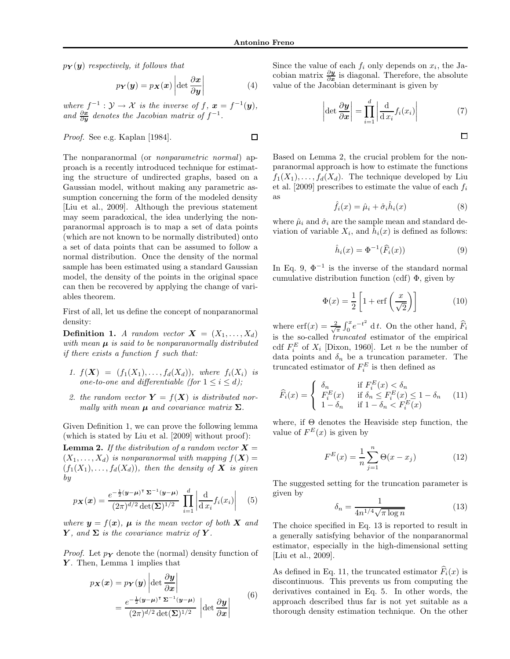$\Box$ 

 $p_Y(y)$  respectively, it follows that

$$
p_{\boldsymbol{Y}}(\boldsymbol{y}) = p_{\boldsymbol{X}}(\boldsymbol{x}) \left| \det \frac{\partial \boldsymbol{x}}{\partial \boldsymbol{y}} \right| \tag{4}
$$

where  $f^{-1}: \mathcal{Y} \to \mathcal{X}$  is the inverse of  $f, x = f^{-1}(\mathbf{y}),$ and  $\frac{\partial x}{\partial y}$  denotes the Jacobian matrix of  $f^{-1}$ .

Proof. See e.g. Kaplan [1984].

The nonparanormal (or nonparametric normal) approach is a recently introduced technique for estimating the structure of undirected graphs, based on a Gaussian model, without making any parametric assumption concerning the form of the modeled density [Liu et al., 2009]. Although the previous statement may seem paradoxical, the idea underlying the nonparanormal approach is to map a set of data points (which are not known to be normally distributed) onto a set of data points that can be assumed to follow a normal distribution. Once the density of the normal sample has been estimated using a standard Gaussian model, the density of the points in the original space can then be recovered by applying the change of variables theorem.

First of all, let us define the concept of nonparanormal density:

**Definition 1.** A random vector  $\mathbf{X} = (X_1, \ldots, X_d)$ with mean  $\mu$  is said to be nonparanormally distributed if there exists a function f such that:

- 1.  $f(X) = (f_1(X_1), \ldots, f_d(X_d))$ , where  $f_i(X_i)$  is one-to-one and differentiable (for  $1 \leq i \leq d$ );
- 2. the random vector  $\mathbf{Y} = f(\mathbf{X})$  is distributed normally with mean  $\mu$  and covariance matrix  $\Sigma$ .

Given Definition 1, we can prove the following lemma (which is stated by Liu et al. [2009] without proof): **Lemma 2.** If the distribution of a random vector  $X =$  $(X_1, \ldots, X_d)$  is nonparanormal with mapping  $f(\boldsymbol{X}) =$  $(f_1(X_1), \ldots, f_d(X_d))$ , then the density of **X** is given

by

$$
p_{\mathbf{X}}(\mathbf{x}) = \frac{e^{-\frac{1}{2}(\mathbf{y}-\boldsymbol{\mu})^\intercal \boldsymbol{\Sigma}^{-1}(\mathbf{y}-\boldsymbol{\mu})}}{(2\pi)^{d/2} \det(\boldsymbol{\Sigma})^{1/2}} \prod_{i=1}^d \left| \frac{\mathrm{d}}{\mathrm{d}x_i} f_i(x_i) \right| \quad (5)
$$

where  $y = f(x)$ ,  $\mu$  is the mean vector of both X and Y, and  $\Sigma$  is the covariance matrix of Y.

*Proof.* Let  $p_Y$  denote the (normal) density function of Y. Then, Lemma 1 implies that

$$
p_{\mathbf{X}}(\mathbf{x}) = p_{\mathbf{Y}}(\mathbf{y}) \left| \det \frac{\partial \mathbf{y}}{\partial \mathbf{x}} \right|
$$
  
= 
$$
\frac{e^{-\frac{1}{2}(\mathbf{y} - \boldsymbol{\mu})^\top \boldsymbol{\Sigma}^{-1}(\mathbf{y} - \boldsymbol{\mu})}}{(2\pi)^{d/2} \det(\boldsymbol{\Sigma})^{1/2}} \left| \det \frac{\partial \mathbf{y}}{\partial \mathbf{x}} \right|
$$
(6)

Since the value of each  $f_i$  only depends on  $x_i$ , the Jacobian matrix  $\frac{\partial y}{\partial x}$  is diagonal. Therefore, the absolute value of the Jacobian determinant is given by

$$
\left| \det \frac{\partial \boldsymbol{y}}{\partial \boldsymbol{x}} \right| = \prod_{i=1}^{d} \left| \frac{\mathrm{d}}{\mathrm{d} x_{i}} f_{i}(x_{i}) \right| \tag{7}
$$

 $\Box$ 

Based on Lemma 2, the crucial problem for the nonparanormal approach is how to estimate the functions  $f_1(X_1), \ldots, f_d(X_d)$ . The technique developed by Liu et al. [2009] prescribes to estimate the value of each  $f_i$ as

$$
\hat{f}_i(x) = \hat{\mu}_i + \hat{\sigma}_i \hat{h}_i(x) \tag{8}
$$

where  $\hat{\mu}_i$  and  $\hat{\sigma}_i$  are the sample mean and standard deviation of variable  $X_i$ , and  $\hat{h}_i(x)$  is defined as follows:

$$
\hat{h}_i(x) = \Phi^{-1}(\widehat{F}_i(x))\tag{9}
$$

In Eq. 9,  $\Phi^{-1}$  is the inverse of the standard normal cumulative distribution function (cdf)  $\Phi$ , given by

$$
\Phi(x) = \frac{1}{2} \left[ 1 + \text{erf}\left(\frac{x}{\sqrt{2}}\right) \right] \tag{10}
$$

where  $\text{erf}(x) = \frac{2}{\sqrt{\pi}} \int_0^x e^{-t^2} dt$ . On the other hand,  $\widehat{F}_i$ is the so-called truncated estimator of the empirical cdf  $F_i^E$  of  $X_i$  [Dixon, 1960]. Let n be the number of data points and  $\delta_n$  be a truncation parameter. The truncated estimator of  $F_i^E$  is then defined as

$$
\widehat{F}_i(x) = \begin{cases}\n\delta_n & \text{if } F_i^E(x) < \delta_n \\
F_i^E(x) & \text{if } \delta_n \le F_i^E(x) \le 1 - \delta_n \\
1 - \delta_n & \text{if } 1 - \delta_n < F_i^E(x)\n\end{cases} \tag{11}
$$

where, if Θ denotes the Heaviside step function, the value of  $F^E(x)$  is given by

$$
F^{E}(x) = \frac{1}{n} \sum_{j=1}^{n} \Theta(x - x_{j})
$$
 (12)

The suggested setting for the truncation parameter is given by

$$
\delta_n = \frac{1}{4n^{1/4}\sqrt{\pi \log n}}\tag{13}
$$

The choice specified in Eq. 13 is reported to result in a generally satisfying behavior of the nonparanormal estimator, especially in the high-dimensional setting [Liu et al., 2009].

As defined in Eq. 11, the truncated estimator  $\widehat{F}_i(x)$  is discontinuous. This prevents us from computing the derivatives contained in Eq. 5. In other words, the approach described thus far is not yet suitable as a thorough density estimation technique. On the other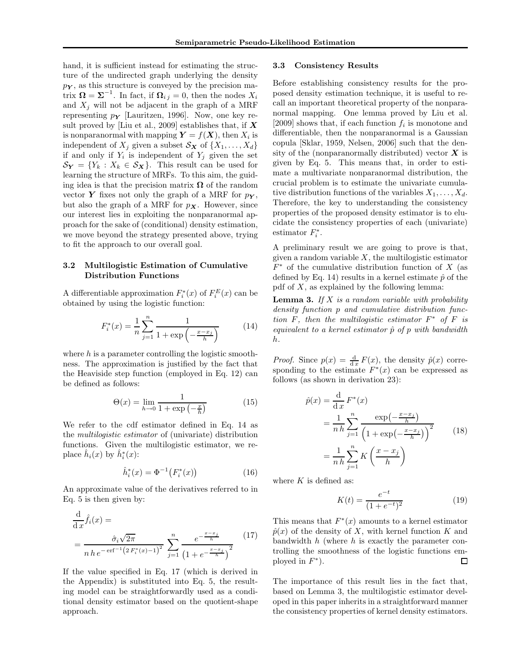hand, it is sufficient instead for estimating the structure of the undirected graph underlying the density  $p_Y$ , as this structure is conveyed by the precision matrix  $\mathbf{\Omega} = \mathbf{\Sigma}^{-1}$ . In fact, if  $\mathbf{\Omega}_{i,j} = 0$ , then the nodes  $X_i$ and  $X_j$  will not be adjacent in the graph of a MRF representing  $p_Y$  [Lauritzen, 1996]. Now, one key result proved by [Liu et al., 2009] establishes that, if  $X$ is nonparanormal with mapping  $\boldsymbol{Y} = f(\boldsymbol{X})$ , then  $X_i$  is independent of  $X_j$  given a subset  $S_X$  of  $\{X_1, \ldots, X_d\}$ if and only if  $Y_i$  is independent of  $Y_j$  given the set  $\mathcal{S}_{\mathbf{Y}} = \{Y_k : X_k \in \mathcal{S}_{\mathbf{X}}\}.$  This result can be used for learning the structure of MRFs. To this aim, the guiding idea is that the precision matrix  $\Omega$  of the random vector Y fixes not only the graph of a MRF for  $p_Y$ , but also the graph of a MRF for  $p_{\mathbf{X}}$ . However, since our interest lies in exploiting the nonparanormal approach for the sake of (conditional) density estimation, we move beyond the strategy presented above, trying to fit the approach to our overall goal.

#### 3.2 Multilogistic Estimation of Cumulative Distribution Functions

A differentiable approximation  $F_i^*(x)$  of  $F_i^E(x)$  can be obtained by using the logistic function:

$$
F_i^*(x) = \frac{1}{n} \sum_{j=1}^n \frac{1}{1 + \exp\left(-\frac{x - x_j}{h}\right)}\tag{14}
$$

where  $h$  is a parameter controlling the logistic smoothness. The approximation is justified by the fact that the Heaviside step function (employed in Eq. 12) can be defined as follows:

$$
\Theta(x) = \lim_{h \to 0} \frac{1}{1 + \exp\left(-\frac{x}{h}\right)}\tag{15}
$$

We refer to the cdf estimator defined in Eq. 14 as the multilogistic estimator of (univariate) distribution functions. Given the multilogistic estimator, we replace  $\hat{h}_i(x)$  by  $\hat{h}_i^*(x)$ :

$$
\hat{h}_i^*(x) = \Phi^{-1}(F_i^*(x))
$$
\n(16)

An approximate value of the derivatives referred to in Eq. 5 is then given by:

$$
\frac{\mathrm{d}}{\mathrm{d}x}\hat{f}_i(x) =
$$
\n
$$
= \frac{\hat{\sigma}_i\sqrt{2\pi}}{n\,h\,e^{-\,\mathrm{erf}^{-1}\left(2\,F_i^*(x)-1\right)^2}}\sum_{j=1}^n \frac{e^{-\frac{x-x_j}{h}}}{\left(1+e^{-\frac{x-x_j}{h}}\right)^2} \tag{17}
$$

If the value specified in Eq. 17 (which is derived in the Appendix) is substituted into Eq. 5, the resulting model can be straightforwardly used as a conditional density estimator based on the quotient-shape approach.

#### 3.3 Consistency Results

Before establishing consistency results for the proposed density estimation technique, it is useful to recall an important theoretical property of the nonparanormal mapping. One lemma proved by Liu et al. [2009] shows that, if each function  $f_i$  is monotone and differentiable, then the nonparanormal is a Gaussian copula [Sklar, 1959, Nelsen, 2006] such that the density of the (nonparanormally distributed) vector  $\boldsymbol{X}$  is given by Eq. 5. This means that, in order to estimate a multivariate nonparanormal distribution, the crucial problem is to estimate the univariate cumulative distribution functions of the variables  $X_1, \ldots, X_d$ . Therefore, the key to understanding the consistency properties of the proposed density estimator is to elucidate the consistency properties of each (univariate) estimator  $F_i^*$ .

A preliminary result we are going to prove is that, given a random variable  $X$ , the multilogistic estimator  $F^*$  of the cumulative distribution function of X (as defined by Eq. 14) results in a kernel estimate  $\hat{p}$  of the pdf of  $X$ , as explained by the following lemma:

**Lemma 3.** If  $X$  is a random variable with probability density function p and cumulative distribution function  $F$ , then the multilogistic estimator  $F^*$  of  $F$  is equivalent to a kernel estimator  $\hat{p}$  of p with bandwidth h.

*Proof.* Since  $p(x) = \frac{d}{dx} F(x)$ , the density  $\hat{p}(x)$  corresponding to the estimate  $F^*(x)$  can be expressed as follows (as shown in derivation 23):

$$
\hat{p}(x) = \frac{\mathrm{d}}{\mathrm{d}x} F^*(x)
$$
\n
$$
= \frac{1}{n} \sum_{j=1}^n \frac{\exp\left(-\frac{x-x_j}{h}\right)}{\left(1 + \exp\left(-\frac{x-x_j}{h}\right)\right)^2}
$$
\n
$$
= \frac{1}{n} \sum_{j=1}^n K\left(\frac{x-x_j}{h}\right)
$$
\n(18)

where  $K$  is defined as:

$$
K(t) = \frac{e^{-t}}{(1 + e^{-t})^2}
$$
 (19)

This means that  $F^*(x)$  amounts to a kernel estimator  $\hat{p}(x)$  of the density of X, with kernel function K and bandwidth  $h$  (where  $h$  is exactly the parameter controlling the smoothness of the logistic functions employed in  $F^*$ ).  $\Box$ 

The importance of this result lies in the fact that, based on Lemma 3, the multilogistic estimator developed in this paper inherits in a straightforward manner the consistency properties of kernel density estimators.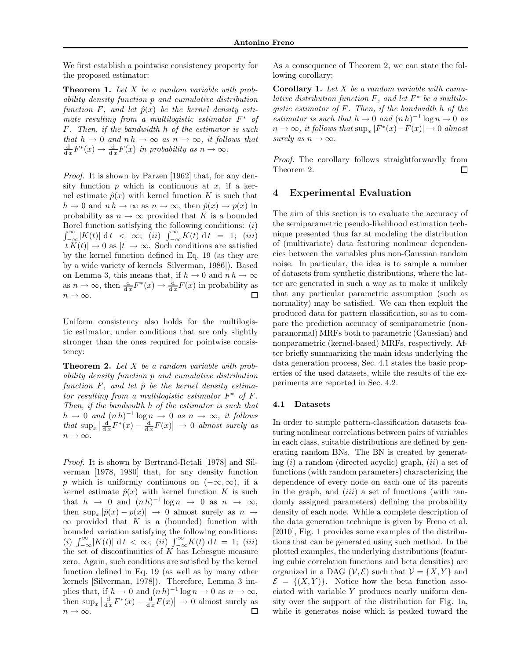We first establish a pointwise consistency property for the proposed estimator:

**Theorem 1.** Let X be a random variable with probability density function p and cumulative distribution function F, and let  $\hat{p}(x)$  be the kernel density estimate resulting from a multilogistic estimator  $F^*$  of F. Then, if the bandwidth h of the estimator is such that  $h \to 0$  and  $n h \to \infty$  as  $n \to \infty$ , it follows that  $\frac{d}{dx}F^*(x) \to \frac{d}{dx}F(x)$  in probability as  $n \to \infty$ .

Proof. It is shown by Parzen [1962] that, for any density function  $p$  which is continuous at  $x$ , if a kernel estimate  $\hat{p}(x)$  with kernel function K is such that  $h \to 0$  and  $n h \to \infty$  as  $n \to \infty$ , then  $\hat{p}(x) \to p(x)$  in probability as  $n \to \infty$  provided that K is a bounded Borel function satisfying the following conditions:  $(i)$  $\int_{-\infty}^{\infty} |K(t)| dt < \infty$ ; (ii)  $\int_{-\infty}^{\infty} K(t) dt = 1$ ; (iii)  $|t K(t)| \to 0$  as  $|t| \to \infty$ . Such conditions are satisfied by the kernel function defined in Eq. 19 (as they are by a wide variety of kernels [Silverman, 1986]). Based on Lemma 3, this means that, if  $h \to 0$  and  $n h \to \infty$ as  $n \to \infty$ , then  $\frac{d}{dx} F^*(x) \to \frac{d}{dx} F(x)$  in probability as  $n \to \infty$ . □

Uniform consistency also holds for the multilogistic estimator, under conditions that are only slightly stronger than the ones required for pointwise consistency:

**Theorem 2.** Let  $X$  be a random variable with probability density function p and cumulative distribution function  $F$ , and let  $\hat{p}$  be the kernel density estimator resulting from a multilogistic estimator  $F^*$  of  $F$ . Then, if the bandwidth h of the estimator is such that  $h \to 0$  and  $(n h)^{-1} \log n \to 0$  as  $n \to \infty$ , it follows that  $\sup_x \left| \frac{\mathrm{d}}{\mathrm{d}x} F^*(x) - \frac{\mathrm{d}}{\mathrm{d}x} F(x) \right| \to 0$  almost surely as  $n \to \infty$ .

Proof. It is shown by Bertrand-Retali [1978] and Silverman [1978, 1980] that, for any density function p which is uniformly continuous on  $(-\infty, \infty)$ , if a kernel estimate  $\hat{p}(x)$  with kernel function K is such that  $h \to 0$  and  $(nh)^{-1} \log n \to 0$  as  $n \to \infty$ , then  $\sup_x |\hat{p}(x) - p(x)| \to 0$  almost surely as  $n \to \infty$  $\infty$  provided that K is a (bounded) function with bounded variation satisfying the following conditions: (i)  $\int_{-\infty}^{\infty} |K(t)| dt < \infty$ ; (ii)  $\int_{-\infty}^{\infty} K(t) dt = 1$ ; (iii) the set of discontinuities of  $K$  has Lebesgue measure zero. Again, such conditions are satisfied by the kernel function defined in Eq. 19 (as well as by many other kernels [Silverman, 1978]). Therefore, Lemma 3 implies that, if  $h \to 0$  and  $(n h)^{-1} \log n \to 0$  as  $n \to \infty$ , then  $\sup_x \left| \frac{d}{dx} F^*(x) - \frac{d}{dx} F(x) \right| \to 0$  almost surely as  $n \to \infty$ .

As a consequence of Theorem 2, we can state the following corollary:

**Corollary 1.** Let  $X$  be a random variable with cumulative distribution function  $F$ , and let  $F^*$  be a multilogistic estimator of F. Then, if the bandwidth h of the estimator is such that  $h \to 0$  and  $(n h)^{-1} \log n \to 0$  as  $n \to \infty$ , it follows that  $\sup_x |F^*(x) - F(x)| \to 0$  almost surely as  $n \to \infty$ .

Proof. The corollary follows straightforwardly from Theorem 2. □

#### 4 Experimental Evaluation

The aim of this section is to evaluate the accuracy of the semiparametric pseudo-likelihood estimation technique presented thus far at modeling the distribution of (multivariate) data featuring nonlinear dependencies between the variables plus non-Gaussian random noise. In particular, the idea is to sample a number of datasets from synthetic distributions, where the latter are generated in such a way as to make it unlikely that any particular parametric assumption (such as normality) may be satisfied. We can then exploit the produced data for pattern classification, so as to compare the prediction accuracy of semiparametric (nonparanormal) MRFs both to parametric (Gaussian) and nonparametric (kernel-based) MRFs, respectively. After briefly summarizing the main ideas underlying the data generation process, Sec. 4.1 states the basic properties of the used datasets, while the results of the experiments are reported in Sec. 4.2.

#### 4.1 Datasets

In order to sample pattern-classification datasets featuring nonlinear correlations between pairs of variables in each class, suitable distributions are defined by generating random BNs. The BN is created by generating  $(i)$  a random (directed acyclic) graph,  $(ii)$  a set of functions (with random parameters) characterizing the dependence of every node on each one of its parents in the graph, and  $(iii)$  a set of functions (with randomly assigned parameters) defining the probability density of each node. While a complete description of the data generation technique is given by Freno et al. [2010], Fig. 1 provides some examples of the distributions that can be generated using such method. In the plotted examples, the underlying distributions (featuring cubic correlation functions and beta densities) are organized in a DAG  $(V, \mathcal{E})$  such that  $V = \{X, Y\}$  and  $\mathcal{E} = \{(X, Y)\}\.$  Notice how the beta function associated with variable Y produces nearly uniform density over the support of the distribution for Fig. 1a, while it generates noise which is peaked toward the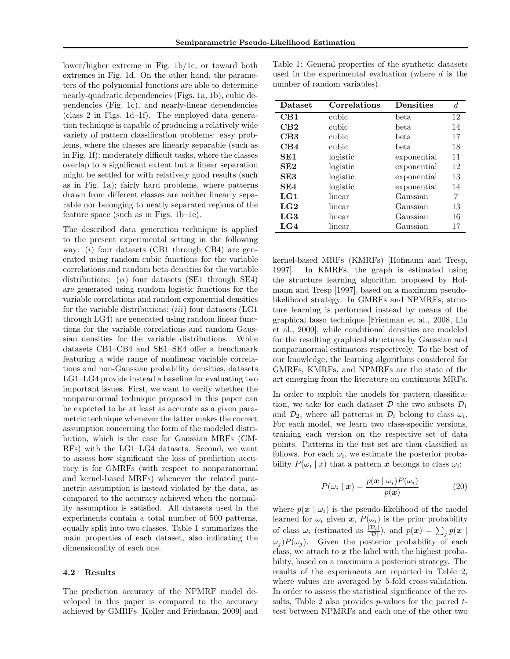lower/higher extreme in Fig. 1b/1c, or toward both extremes in Fig. 1d. On the other hand, the parameters of the polynomial functions are able to determine nearly-quadratic dependencies (Figs. 1a, 1b), cubic dependencies (Fig. 1c), and nearly-linear dependencies (class 2 in Figs. 1d–1f). The employed data generation technique is capable of producing a relatively wide variety of pattern classification problems: easy problems, where the classes are linearly separable (such as in Fig. 1f); moderately difficult tasks, where the classes overlap to a significant extent but a linear separation might be settled for with relatively good results (such as in Fig. 1a); fairly hard problems, where patterns drawn from different classes are neither linearly separable nor belonging to neatly separated regions of the feature space (such as in Figs. 1b–1e).

The described data generation technique is applied to the present experimental setting in the following way:  $(i)$  four datasets (CB1 through CB4) are generated using random cubic functions for the variable correlations and random beta densities for the variable distributions; (ii) four datasets (SE1 through SE4) are generated using random logistic functions for the variable correlations and random exponential densities for the variable distributions;  $(iii)$  four datasets  $(LG1)$ through LG4) are generated using random linear functions for the variable correlations and random Gaussian densities for the variable distributions. While datasets CB1–CB4 and SE1–SE4 offer a benchmark featuring a wide range of nonlinear variable correlations and non-Gaussian probability densities, datasets LG1–LG4 provide instead a baseline for evaluating two important issues. First, we want to verify whether the nonparanormal technique proposed in this paper can be expected to be at least as accurate as a given parametric technique whenever the latter makes the correct assumption concerning the form of the modeled distribution, which is the case for Gaussian MRFs (GM-RFs) with the LG1–LG4 datasets. Second, we want to assess how significant the loss of prediction accuracy is for GMRFs (with respect to nonparanormal and kernel-based MRFs) whenever the related parametric assumption is instead violated by the data, as compared to the accuracy achieved when the normality assumption is satisfied. All datasets used in the experiments contain a total number of 500 patterns, equally split into two classes. Table 1 summarizes the main properties of each dataset, also indicating the dimensionality of each one.

#### 4.2 Results

The prediction accuracy of the NPMRF model developed in this paper is compared to the accuracy achieved by GMRFs [Koller and Friedman, 2009] and

| Table 1: General properties of the synthetic datasets |  |  |
|-------------------------------------------------------|--|--|
| used in the experimental evaluation (where $d$ is the |  |  |
| number of random variables).                          |  |  |

| Dataset         | Correlations | <b>Densities</b> | đ. |
|-----------------|--------------|------------------|----|
| CB1             | cubic        | $_{\rm beta}$    | 12 |
| $\rm CB2$       | cubic        | beta             | 14 |
| CB3             | cubic        | beta             | 17 |
| CB4             | cubic        | beta             | 18 |
| SE <sub>1</sub> | logistic     | exponential      | 11 |
| SE2             | logistic     | exponential      | 12 |
| SE3             | logistic     | exponential      | 13 |
| SE4             | logistic     | exponential      | 14 |
| LG1             | linear       | Gaussian         | 7  |
| LG2             | linear       | Gaussian         | 13 |
| LG3             | linear       | Gaussian         | 16 |
| LG4             | linear       | Gaussian         | 17 |

kernel-based MRFs (KMRFs) [Hofmann and Tresp, 1997]. In KMRFs, the graph is estimated using the structure learning algorithm proposed by Hofmann and Tresp [1997], based on a maximum pseudolikelihood strategy. In GMRFs and NPMRFs, structure learning is performed instead by means of the graphical lasso technique [Friedman et al., 2008, Liu et al., 2009], while conditional densities are modeled for the resulting graphical structures by Gaussian and nonparanormal estimators respectively. To the best of our knowledge, the learning algorithms considered for GMRFs, KMRFs, and NPMRFs are the state of the art emerging from the literature on continuous MRFs.

In order to exploit the models for pattern classification, we take for each dataset  $\mathcal D$  the two subsets  $\mathcal D_1$ and  $\mathcal{D}_2$ , where all patterns in  $\mathcal{D}_i$  belong to class  $\omega_i$ . For each model, we learn two class-specific versions, training each version on the respective set of data points. Patterns in the test set are then classified as follows. For each  $\omega_i$ , we estimate the posterior probability  $P(\omega_i \mid x)$  that a pattern x belongs to class  $\omega_i$ :

$$
P(\omega_i \mid \boldsymbol{x}) = \frac{p(\boldsymbol{x} \mid \omega_i) P(\omega_i)}{p(\boldsymbol{x})}
$$
(20)

where  $p(x \mid \omega_i)$  is the pseudo-likelihood of the model learned for  $\omega_i$  given  $\boldsymbol{x}, P(\omega_i)$  is the prior probability of class  $\omega_i$  (estimated as  $\frac{|\mathcal{D}_i|}{|\mathcal{D}|}$ ), and  $p(\mathbf{x}) = \sum_j p(\mathbf{x})$  $\omega_i P(\omega_i)$ . Given the posterior probability of each class, we attach to  $x$  the label with the highest probability, based on a maximum a posteriori strategy. The results of the experiments are reported in Table 2, where values are averaged by 5-fold cross-validation. In order to assess the statistical significance of the results, Table 2 also provides  $p$ -values for the paired  $t$ test between NPMRFs and each one of the other two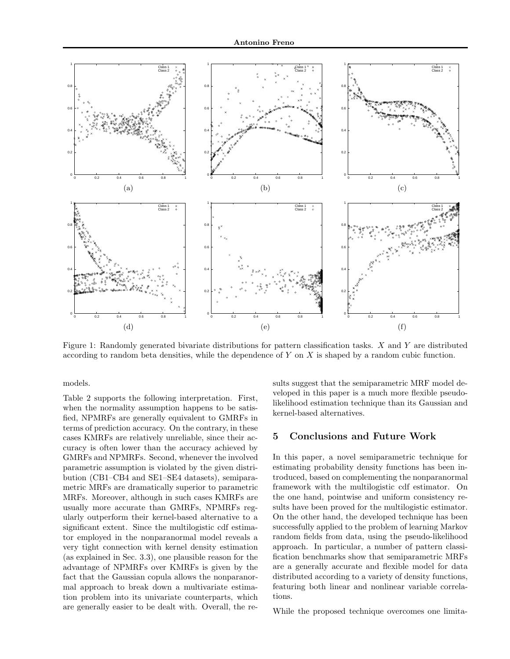

Figure 1: Randomly generated bivariate distributions for pattern classification tasks. X and Y are distributed according to random beta densities, while the dependence of Y on X is shaped by a random cubic function.

models.

Table 2 supports the following interpretation. First, when the normality assumption happens to be satisfied, NPMRFs are generally equivalent to GMRFs in terms of prediction accuracy. On the contrary, in these cases KMRFs are relatively unreliable, since their accuracy is often lower than the accuracy achieved by GMRFs and NPMRFs. Second, whenever the involved parametric assumption is violated by the given distribution (CB1–CB4 and SE1–SE4 datasets), semiparametric MRFs are dramatically superior to parametric MRFs. Moreover, although in such cases KMRFs are usually more accurate than GMRFs, NPMRFs regularly outperform their kernel-based alternative to a significant extent. Since the multilogistic cdf estimator employed in the nonparanormal model reveals a very tight connection with kernel density estimation (as explained in Sec. 3.3), one plausible reason for the advantage of NPMRFs over KMRFs is given by the fact that the Gaussian copula allows the nonparanormal approach to break down a multivariate estimation problem into its univariate counterparts, which are generally easier to be dealt with. Overall, the results suggest that the semiparametric MRF model developed in this paper is a much more flexible pseudolikelihood estimation technique than its Gaussian and kernel-based alternatives.

#### 5 Conclusions and Future Work

In this paper, a novel semiparametric technique for estimating probability density functions has been introduced, based on complementing the nonparanormal framework with the multilogistic cdf estimator. On the one hand, pointwise and uniform consistency results have been proved for the multilogistic estimator. On the other hand, the developed technique has been successfully applied to the problem of learning Markov random fields from data, using the pseudo-likelihood approach. In particular, a number of pattern classification benchmarks show that semiparametric MRFs are a generally accurate and flexible model for data distributed according to a variety of density functions, featuring both linear and nonlinear variable correlations.

While the proposed technique overcomes one limita-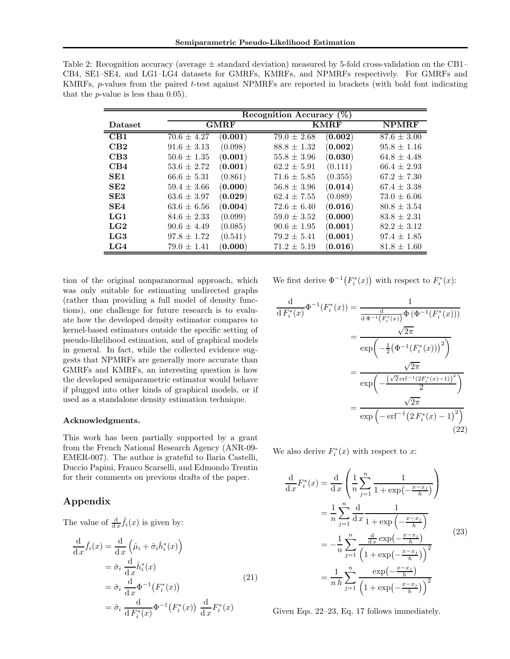|                 |                                       | Recognition Accuracy $(\%)$              |                 |
|-----------------|---------------------------------------|------------------------------------------|-----------------|
| Dataset         | <b>GMRF</b>                           | <b>KMRF</b>                              | <b>NPMRF</b>    |
| CB1             | (0.001)<br>$70.6 \pm 4.27$            | $\left( 0.002\right)$<br>$79.0 \pm 2.68$ | $87.6 \pm 3.00$ |
| CB2             | $91.6 \pm 3.13$<br>(0.098)            | $\left( 0.002\right)$<br>$88.8 \pm 1.32$ | $95.8 \pm 1.16$ |
| CB3             | (0.001)<br>$50.6 \pm 1.35$            | (0.030)<br>$55.8 \pm 3.96$               | $64.8 \pm 4.48$ |
| CB4             | (0.001)<br>$53.6 \pm 2.72$            | (0.111)<br>$62.2 \pm 5.91$               | $66.4 \pm 2.93$ |
| SE <sub>1</sub> | (0.861)<br>$66.6 \pm 5.31$            | (0.355)<br>$71.6 \pm 5.85$               | $67.2 \pm 7.30$ |
| SE2             | (0.000)<br>$59.4 \pm 3.66$            | $( {\bf 0.014} )$<br>$56.8 \pm 3.96$     | $67.4 \pm 3.38$ |
| SE3             | $(\mathbf{0.029})$<br>$63.6 \pm 3.97$ | (0.089)<br>$62.4 \pm 7.55$               | $73.0 \pm 6.06$ |
| SE4             | (0.004)<br>$63.6 \pm 6.56$            | $72.6 \pm 6.40$<br>$(\mathbf{0.016})$    | $80.8 \pm 3.54$ |
| LG1             | (0.099)<br>$84.6 \pm 2.33$            | $(\mathbf{0.000})$<br>$59.0 \pm 3.52$    | $83.8 \pm 2.31$ |
| $_{\rm LG2}$    | (0.085)<br>$90.6 \pm 4.49$            | $(\mathbf{0.001})$<br>$90.6 \pm 1.95$    | $82.2 \pm 3.12$ |
| LG3             | (0.541)<br>$97.8 \pm 1.72$            | $(\mathbf{0.001})$<br>$79.2 \pm 5.41$    | $97.4 \pm 1.85$ |
| LG4             | (0.000)<br>$79.0 \pm 1.41$            | $(\mathbf{0.016})$<br>$71.2 \pm 5.19$    | $81.8 \pm 1.60$ |

| Table 2: Recognition accuracy (average $\pm$ standard deviation) measured by 5-fold cross-validation on the CB1– |
|------------------------------------------------------------------------------------------------------------------|
| CB4, SE1–SE4, and LG1–LG4 datasets for GMRFs, KMRFs, and NPMRFs respectively. For GMRFs and                      |
| KMRFs, p-values from the paired t-test against NPMRFs are reported in brackets (with bold font indicating        |
| that the <i>p</i> -value is less than $0.05$ ).                                                                  |

tion of the original nonparanormal approach, which was only suitable for estimating undirected graphs (rather than providing a full model of density functions), one challenge for future research is to evaluate how the developed density estimator compares to kernel-based estimators outside the specific setting of pseudo-likelihood estimation, and of graphical models in general. In fact, while the collected evidence suggests that NPMRFs are generally more accurate than GMRFs and KMRFs, an interesting question is how the developed semiparametric estimator would behave if plugged into other kinds of graphical models, or if used as a standalone density estimation technique.

#### Acknowledgments.

This work has been partially supported by a grant from the French National Research Agency (ANR-09- EMER-007). The author is grateful to Ilaria Castelli, Duccio Papini, Franco Scarselli, and Edmondo Trentin for their comments on previous drafts of the paper.

#### Appendix

The value of  $\frac{d}{dx} \hat{f}_i(x)$  is given by:

$$
\frac{d}{dx}\hat{f}_i(x) = \frac{d}{dx}\left(\hat{\mu}_i + \hat{\sigma}_i\hat{h}_i^*(x)\right)
$$
  
\n
$$
= \hat{\sigma}_i \frac{d}{dx}\hat{h}_i^*(x)
$$
  
\n
$$
= \hat{\sigma}_i \frac{d}{dx}\Phi^{-1}(F_i^*(x))
$$
  
\n
$$
= \hat{\sigma}_i \frac{d}{dF_i^*(x)}\Phi^{-1}(F_i^*(x)) \frac{d}{dx}F_i^*(x)
$$
\n(21)

We first derive  $\Phi^{-1}(F_i^*(x))$  with respect to  $F_i^*(x)$ :

$$
\frac{\mathrm{d}}{\mathrm{d} F_i^*(x)} \Phi^{-1}(F_i^*(x)) = \frac{1}{\frac{\mathrm{d} \Phi^{-1}(F_i^*(x))}{\mathrm{d} \Phi^{-1}(F_i^*(x))} \Phi(\Phi^{-1}(F_i^*(x)))}
$$
\n
$$
= \frac{\sqrt{2\pi}}{\exp\left(-\frac{1}{2}(\Phi^{-1}(F_i^*(x)))^2\right)}
$$
\n
$$
= \frac{\sqrt{2\pi}}{\exp\left(-\frac{(\sqrt{2}\operatorname{erf}^{-1}(2F_i^*(x)-1))^2}{2}\right)}
$$
\n
$$
= \frac{\sqrt{2\pi}}{\exp\left(-\operatorname{erf}^{-1}(2F_i^*(x)-1)^2\right)}
$$
\n(22)

We also derive  $F_i^*(x)$  with respect to x:

$$
\frac{\mathrm{d}}{\mathrm{d}x}F_i^*(x) = \frac{\mathrm{d}}{\mathrm{d}x} \left( \frac{1}{n} \sum_{j=1}^n \frac{1}{1 + \exp\left(-\frac{x - x_j}{h}\right)} \right)
$$
\n
$$
= \frac{1}{n} \sum_{j=1}^n \frac{\mathrm{d}}{\mathrm{d}x} \frac{1}{1 + \exp\left(-\frac{x - x_j}{h}\right)}
$$
\n
$$
= -\frac{1}{n} \sum_{j=1}^n \frac{\frac{\mathrm{d}}{\mathrm{d}x} \exp\left(-\frac{x - x_j}{h}\right)}{\left(1 + \exp\left(-\frac{x - x_j}{h}\right)\right)^2}
$$
\n
$$
= \frac{1}{n} \sum_{j=1}^n \frac{\exp\left(-\frac{x - x_j}{h}\right)}{\left(1 + \exp\left(-\frac{x - x_j}{h}\right)\right)^2}
$$
\n(23)

Given Eqs. 22–23, Eq. 17 follows immediately.